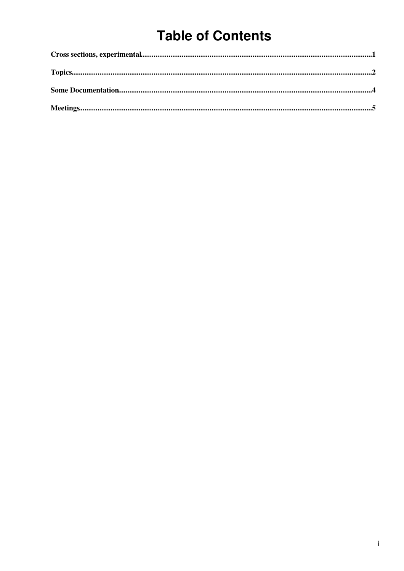# **Table of Contents**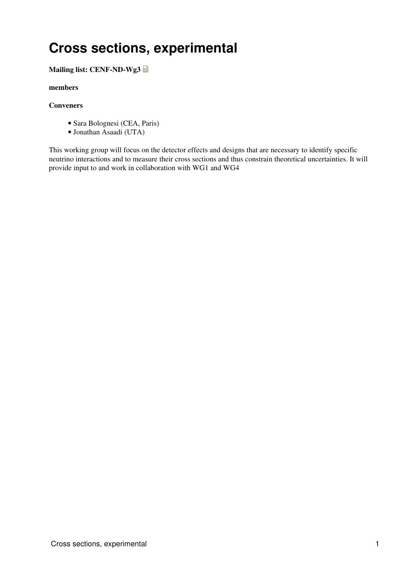## <span id="page-1-0"></span>**Cross sections, experimental**

### **Mailing list: [CENF-ND-Wg3](mailto:CENF-ND-Wg3@cernNOSPAMPLEASE.ch)**

#### **[members](https://twiki.cern.ch/twiki/pub/CENF/NearDetectorWG3/members-CENF-ND-Wg3.csv)**

#### **Conveners**

- Sara Bolognesi (CEA, Paris)
- Jonathan Asaadi (UTA)

This working group will focus on the detector effects and designs that are necessary to identify specific neutrino interactions and to measure their cross sections and thus constrain theoretical uncertainties. It will provide input to and work in collaboration with WG1 and WG4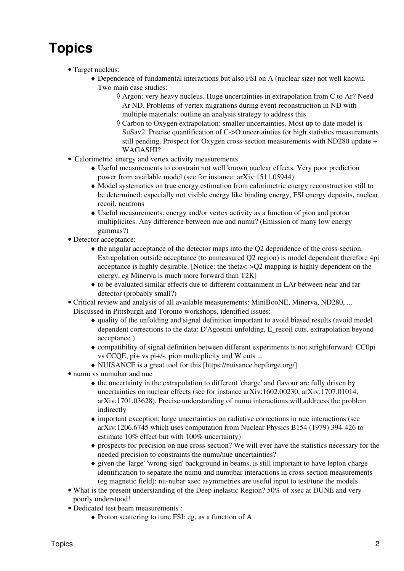# <span id="page-2-0"></span>**Topics**

- Target nucleus:
	- Dependence of fundamental interactions but also FSI on A (nuclear size) not well known. ♦ Two main case studies:
		- Argon: very heavy nucleus. Huge uncertainties in extrapolation from C to Ar? Need ◊ Ar ND. Problems of vertex migrations during event reconstruction in ND with multiple materials: outline an analysis strategy to address this
		- Carbon to Oxygen extrapolation: smaller uncertainties. Most up to date model is ◊ [SuSav2.](https://twiki.cern.ch/twiki/bin/edit/CENF/SuSav2?topicparent=CENF.NearDetectorWG3;nowysiwyg=1) Precise quantification of C->O uncertainties for high statistics measurements still pending. Prospect for Oxygen cross-section measurements with ND280 update + WAGASHI?
- 'Calorimetric' energy and vertex activity measurements
	- Useful measurements to constrain not well known nuclear effects. Very poor prediction ♦ power from available model (see for instance: arXiv:1511.05944)
	- Model systematics on true energy estimation from calorimetric energy reconstruction still to ♦ be determined: especially not visible energy like binding energy, FSI energy deposits, nuclear recoil, neutrons
	- Useful measurements: energy and/or vertex activity as a function of pion and proton ♦ multiplicites. Any difference between nue and numu? (Emission of many low energy gammas?)
- Detector acceptance:
	- the angular acceptance of the detector maps into the Q2 dependence of the cross-section. ♦ Extrapolation outside acceptance (to unmeasured Q2 region) is model dependent therefore 4pi acceptance is highly desirable. [Notice: the theta<->Q2 mapping is highly dependent on the energy, eg Minerva is much more forward than [T2K\]](https://twiki.cern.ch/twiki/bin/edit/CENF/T2K?topicparent=CENF.NearDetectorWG3;nowysiwyg=1)
	- to be evaluated similar effects due to different containment in LAr between near and far ♦ detector (probably small?)
- Critical review and analysis of all available measurements: [MiniBooNE](https://twiki.cern.ch/twiki/bin/edit/CENF/MiniBooNE?topicparent=CENF.NearDetectorWG3;nowysiwyg=1), Minerva, ND280, ... •

Discussed in Pittsburgh and Toronto workshops, identified issues:

- quality of the unfolding and signal definition important to avoid biased results (avoid model ♦ dependent corrections to the data: D'Agostini unfolding, E\_recoil cuts, extrapolation beyond acceptance )
- compatibility of signal definition between different experiments is not strightforward: CC0pi ♦ vs CCQE, pi+ vs pi+/-, pion multeplicity and W cuts ...
- ♦ NUISANCE is a great tool for this [https://nuisance.hepforge.org/]
- numu vs numubar and nue
	- the uncertainty in the extrapolation to different 'charge' and flavour are fully driven by ♦ uncertainties on nuclear effects (see for instance arXiv:1602.00230, arXiv:1707.01014, arXiv:1701.03628). Precise understanding of numu interactions will addreess the problem indirectly
	- important exception: large uncertainties on radiative corrections in nue interactions (see ♦ arXiv:1206.6745 which uses computation from Nuclear Physics B154 (1979) 394-426 to estimate 10% effect but with 100% uncertainty)
	- prospects for precision on nue cross-section? We will ever have the statistics necessary for the ♦ needed precision to constraints the numu/nue uncertainties?
	- given the 'large' 'wrong-sign' background in beams, is still important to have lepton charge ♦ identification to separate the numu and numubar interactions in cross-section measurements (eg magnetic field): nu-nubar xsec asymmetries are useful input to test/tune the models
- What is the present understanding of the Deep inelastic Region? 50% of xsec at DUNE and very poorly understood!
- Dedicated test beam measurements :
	- ♦ Proton scattering to tune FSI: eg, as a function of A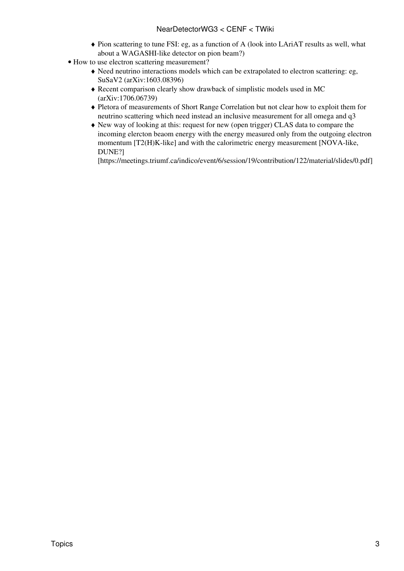### NearDetectorWG3 < CENF < TWiki

- Pion scattering to tune FSI: eg, as a function of A (look into [LAriAT](https://twiki.cern.ch/twiki/bin/edit/CENF/LAriAT?topicparent=CENF.NearDetectorWG3;nowysiwyg=1) results as well, what ♦ about a WAGASHI-like detector on pion beam?)
- How to use electron scattering measurement?
	- Need neutrino interactions models which can be extrapolated to electron scattering: eg, ♦ [SuSaV2](https://twiki.cern.ch/twiki/bin/edit/CENF/SuSaV2?topicparent=CENF.NearDetectorWG3;nowysiwyg=1) (arXiv:1603.08396)
	- Recent comparison clearly show drawback of simplistic models used in MC ♦ (arXiv:1706.06739)
	- Pletora of measurements of Short Range Correlation but not clear how to exploit them for ♦ neutrino scattering which need instead an inclusive measurement for all omega and q3
	- New way of looking at this: request for new (open trigger) CLAS data to compare the ♦ incoming elercton beaom energy with the energy measured only from the outgoing electron momentum [T2(H)K-like] and with the calorimetric energy measurement [NOVA-like, DUNE?]

[https://meetings.triumf.ca/indico/event/6/session/19/contribution/122/material/slides/0.pdf]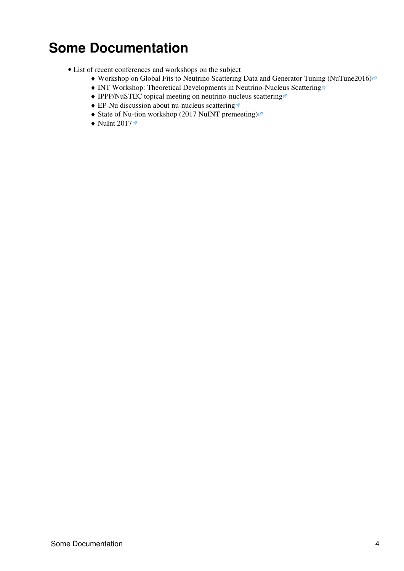## <span id="page-4-0"></span>**Some Documentation**

- List of recent conferences and workshops on the subject
	- ♦ [Workshop on Global Fits to Neutrino Scattering Data and Generator Tuning \(NuTune2016\)](https://indico.fnal.gov/conferenceTimeTable.py?confId=11610#20160711.detailed)
	- ♦ [INT Workshop: Theoretical Developments in Neutrino-Nucleus Scattering](http://www.int.washington.edu/talks/WorkShops/int_16_63W/)
	- ♦ [IPPP/NuSTEC topical meeting on neutrino-nucleus scattering](http://conference.ippp.dur.ac.uk/event/583/timetable/#20170418.detailed)
	- ♦ [EP-Nu discussion about nu-nucleus scattering](https://indico.cern.ch/event/636662/timetable/CERN)
	- ♦ [State of Nu-tion workshop \(2017 NuINT premeeting\)](https://nuint2017.physics.utoronto.ca/state-of-the-nu-tion-premeeting/program)
	- $\blacklozenge$  [NuInt 2017](https://meetings.triumf.ca/indico/event/6/timetable/#20170629.detailed)